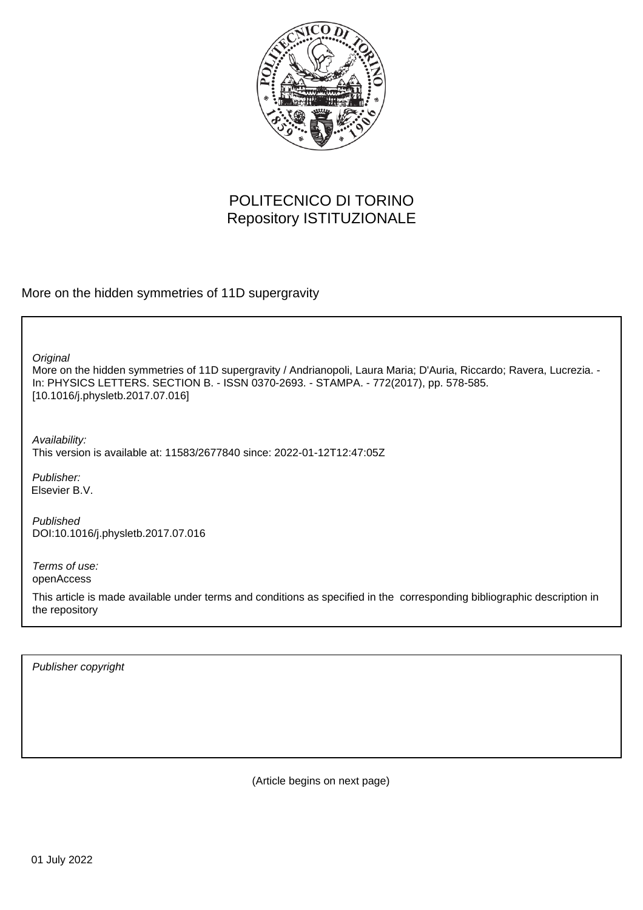

## POLITECNICO DI TORINO Repository ISTITUZIONALE

More on the hidden symmetries of 11D supergravity

More on the hidden symmetries of 11D supergravity / Andrianopoli, Laura Maria; D'Auria, Riccardo; Ravera, Lucrezia. - In: PHYSICS LETTERS. SECTION B. - ISSN 0370-2693. - STAMPA. - 772(2017), pp. 578-585. [10.1016/j.physletb.2017.07.016] **Original** 

Availability: This version is available at: 11583/2677840 since: 2022-01-12T12:47:05Z

Publisher: Elsevier B.V.

Published DOI:10.1016/j.physletb.2017.07.016

Terms of use: openAccess

This article is made available under terms and conditions as specified in the corresponding bibliographic description in the repository

Publisher copyright

(Article begins on next page)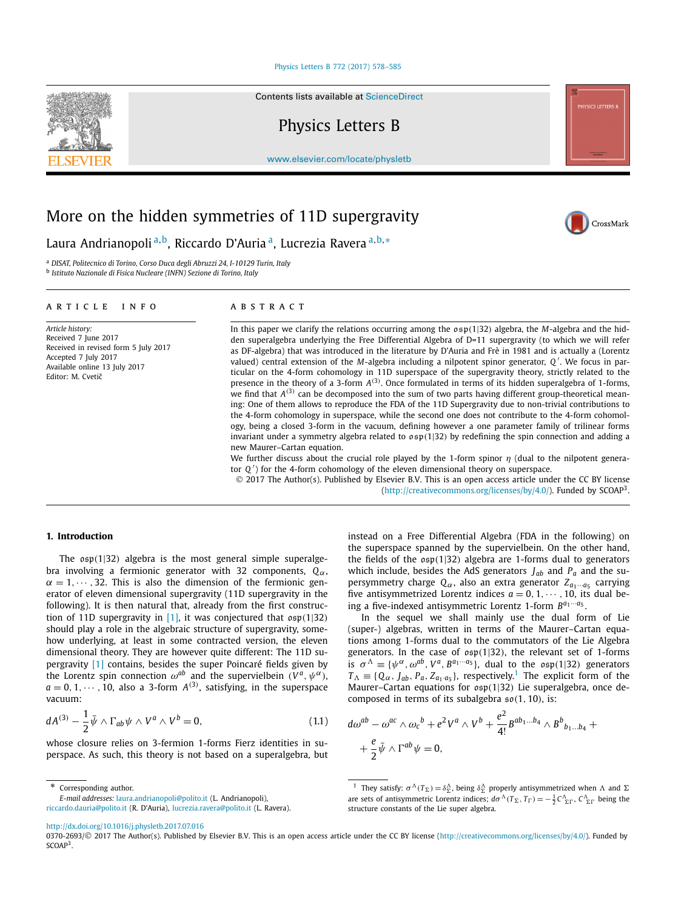#### [Physics Letters B 772 \(2017\) 578–585](http://dx.doi.org/10.1016/j.physletb.2017.07.016)

Contents lists available at [ScienceDirect](http://www.ScienceDirect.com/)

### Physics Letters B

[www.elsevier.com/locate/physletb](http://www.elsevier.com/locate/physletb)

# More on the hidden symmetries of 11D supergravity

Laura Andrianopoli <sup>a</sup>*,*b, Riccardo D'Auria a, Lucrezia Ravera <sup>a</sup>*,*b*,*<sup>∗</sup>

<sup>a</sup> *DISAT, Politecnico di Torino, Corso Duca degli Abruzzi 24, I-10129 Turin, Italy*

<sup>b</sup> *Istituto Nazionale di Fisica Nucleare (INFN) Sezione di Torino, Italy*

| ARTICLE INFO                                                                                                                                                   | <b>ABSTRACT</b>                                                                                                                                                                                                                                                                                                                                                                                                                                                                                                                                                                                                                                                                                                                                                                                                                                                                                                            |
|----------------------------------------------------------------------------------------------------------------------------------------------------------------|----------------------------------------------------------------------------------------------------------------------------------------------------------------------------------------------------------------------------------------------------------------------------------------------------------------------------------------------------------------------------------------------------------------------------------------------------------------------------------------------------------------------------------------------------------------------------------------------------------------------------------------------------------------------------------------------------------------------------------------------------------------------------------------------------------------------------------------------------------------------------------------------------------------------------|
| Article history:<br>Received 7 June 2017<br>Received in revised form 5 July 2017<br>Accepted 7 July 2017<br>Available online 13 July 2017<br>Editor: M. Cvetič | In this paper we clarify the relations occurring among the $\rho \in \mathfrak{sp}(1 32)$ algebra, the M-algebra and the hid-<br>den superalgebra underlying the Free Differential Algebra of D=11 supergravity (to which we will refer<br>as DF-algebra) that was introduced in the literature by D'Auria and Frè in 1981 and is actually a (Lorentz<br>valued) central extension of the M-algebra including a nilpotent spinor generator, $Q'$ . We focus in par-<br>ticular on the 4-form cohomology in 11D superspace of the supergravity theory, strictly related to the<br>presence in the theory of a 3-form $A^{(3)}$ . Once formulated in terms of its hidden superalgebra of 1-forms,<br>we find that $A^{(3)}$ can be decomposed into the sum of two parts having different group-theoretical mean-<br>ing: One of them allows to reproduce the FDA of the 11D Supergravity due to non-trivial contributions to |

new Maurer–Cartan equation.

tor *Q* ) for the 4-form cohomology of the eleven dimensional theory on superspace. © 2017 The Author(s). Published by Elsevier B.V. This is an open access article under the CC BY license [\(http://creativecommons.org/licenses/by/4.0/\)](http://creativecommons.org/licenses/by/4.0/). Funded by  $SCOAP<sup>3</sup>$ .

We further discuss about the crucial role played by the 1-form spinor *η* (dual to the nilpotent genera-

the 4-form cohomology in superspace, while the second one does not contribute to the 4-form cohomology, being a closed 3-form in the vacuum, defining however a one parameter family of trilinear forms invariant under a symmetry algebra related to osp*(*1|32*)* by redefining the spin connection and adding a

#### **1. Introduction**

The osp*(*1|32*)* algebra is the most general simple superalgebra involving a fermionic generator with 32 components, *Qα*,  $\alpha = 1, \dots, 32$ . This is also the dimension of the fermionic generator of eleven dimensional supergravity (11D supergravity in the following). It is then natural that, already from the first construction of 11D supergravity in [1], it was conjectured that osp*(*1|32*)* should play a role in the algebraic structure of supergravity, somehow underlying, at least in some contracted version, the eleven dimensional theory. They are however quite different: The 11D supergravity [1] contains, besides the super Poincaré fields given by the Lorentz spin connection  $\omega^{ab}$  and the supervielbein  $(V^a, \psi^\alpha)$ ,  $a = 0, 1, \dots, 10$ , also a 3-form  $A^{(3)}$ , satisfying, in the superspace vacuum:

$$
dA^{(3)} - \frac{1}{2}\bar{\psi} \wedge \Gamma_{ab}\psi \wedge V^a \wedge V^b = 0, \qquad (1.1)
$$

whose closure relies on 3-fermion 1-forms Fierz identities in superspace. As such, this theory is not based on a superalgebra, but

Corresponding author.

*E-mail addresses:* [laura.andrianopoli@polito.it](mailto:laura.andrianopoli@polito.it) (L. Andrianopoli), [riccardo.dauria@polito.it](mailto:riccardo.dauria@polito.it) (R. D'Auria), [lucrezia.ravera@polito.it](mailto:lucrezia.ravera@polito.it) (L. Ravera). instead on a Free Differential Algebra (FDA in the following) on the superspace spanned by the supervielbein. On the other hand, the fields of the osp*(*1|32*)* algebra are 1-forms dual to generators which include, besides the AdS generators  $J_{ab}$  and  $P_a$  and the supersymmetry charge  $Q_\alpha$ , also an extra generator  $Z_{a_1\cdots a_5}$  carrying five antisymmetrized Lorentz indices  $a = 0, 1, \dots, 10$ , its dual being a five-indexed antisymmetric Lorentz 1-form *Ba*1···*a*<sup>5</sup> .

In the sequel we shall mainly use the dual form of Lie (super-) algebras, written in terms of the Maurer–Cartan equations among 1-forms dual to the commutators of the Lie Algebra generators. In the case of osp*(*1|32*)*, the relevant set of 1-forms is  $\sigma^{\Lambda} \equiv {\psi^{\alpha}, \omega^{ab}, V^a, B^{a_1 \cdots a_5}}$ , dual to the  $\sigma \mathfrak{sp}(1|32)$  generators  $T_A \equiv \{Q_\alpha, J_{ab}, P_a, Z_{a_1 \cdot a_5}\}\$ , respectively.<sup>1</sup> The explicit form of the Maurer–Cartan equations for osp*(*1|32*)* Lie superalgebra, once decomposed in terms of its subalgebra so*(*1*,* 10*)*, is:

$$
d\omega^{ab} - \omega^{ac} \wedge \omega_c{}^b + e^2 V^a \wedge V^b + \frac{e^2}{4!} B^{ab_1...b_4} \wedge B^b{}_{b_1...b_4} + \frac{e}{2} \bar{\psi} \wedge \Gamma^{ab} \psi = 0,
$$

<sup>1</sup> They satisfy:  $\sigma^{\Lambda}(T_{\Sigma}) = \delta^{\Lambda}_{\Sigma}$ , being  $\delta^{\Lambda}_{\Sigma}$  properly antisymmetrized when  $\Lambda$  and  $\Sigma$ are sets of antisymmetric Lorentz indices;  $d\sigma^{\Lambda}(T_{\Sigma}, T_{\Gamma}) = -\frac{1}{2}C^{\Lambda}_{\Sigma\Gamma}$ ,  $C^{\Lambda}_{\Sigma\Gamma}$  being the structure constants of the Lie super algebra.

<http://dx.doi.org/10.1016/j.physletb.2017.07.016>





<sup>0370-2693/© 2017</sup> The Author(s). Published by Elsevier B.V. This is an open access article under the CC BY license [\(http://creativecommons.org/licenses/by/4.0/](http://creativecommons.org/licenses/by/4.0/)). Funded by SCOAP<sup>3</sup>.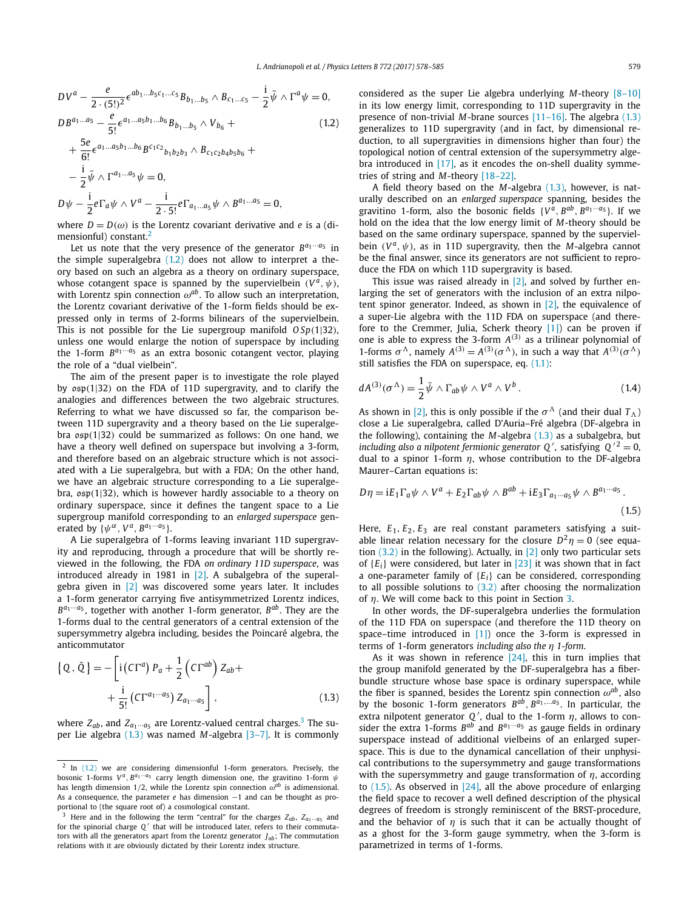$$
DV^{a} - \frac{e}{2 \cdot (5!)^{2}} \epsilon^{ab_{1}...b_{5}c_{1}...c_{5}} B_{b_{1}...b_{5}} \wedge B_{c_{1}...c_{5}} - \frac{i}{2} \bar{\psi} \wedge \Gamma^{a} \psi = 0,
$$
  

$$
DB^{a_{1}...a_{5}} - \frac{e}{5!} \epsilon^{a_{1}...a_{5}b_{1}...b_{6}} B_{b_{1}...b_{5}} \wedge V_{b_{6}} +
$$
 (1.2)

+ 
$$
\frac{5e}{6!} \epsilon^{a_1...a_5b_1...b_6} B^{c_1c_2}{}_{b_1b_2b_3} \wedge B_{c_1c_2b_4b_5b_6} +
$$
  
\n-  $\frac{i}{2} \bar{\psi} \wedge \Gamma^{a_1...a_5} \psi = 0,$   
\n $D\psi - \frac{i}{2} e \Gamma_a \psi \wedge V^a - \frac{i}{2 \cdot 5!} e \Gamma_{a_1...a_5} \psi \wedge B^{a_1...a_5} = 0,$ 

where  $D = D(\omega)$  is the Lorentz covariant derivative and *e* is a (dimensionful) constant.<sup>2</sup>

Let us note that the very presence of the generator  $B^{a_1 \cdots a_5}$  in the simple superalgebra (1.2) does not allow to interpret a theory based on such an algebra as a theory on ordinary superspace, whose cotangent space is spanned by the supervielbein  $(V^a, \psi)$ , with Lorentz spin connection  $\omega^{ab}$ . To allow such an interpretation, the Lorentz covariant derivative of the 1-form fields should be expressed only in terms of 2-forms bilinears of the supervielbein. This is not possible for the Lie supergroup manifold *O Sp(*1|32*)*, unless one would enlarge the notion of superspace by including the 1-form  $B^{a_1 \cdots a_5}$  as an extra bosonic cotangent vector, playing the role of a "dual vielbein".

The aim of the present paper is to investigate the role played by osp*(*1|32*)* on the FDA of 11D supergravity, and to clarify the analogies and differences between the two algebraic structures. Referring to what we have discussed so far, the comparison between 11D supergravity and a theory based on the Lie superalgebra osp*(*1|32*)* could be summarized as follows: On one hand, we have a theory well defined on superspace but involving a 3-form, and therefore based on an algebraic structure which is not associated with a Lie superalgebra, but with a FDA; On the other hand, we have an algebraic structure corresponding to a Lie superalgebra, osp*(*1|32*)*, which is however hardly associable to a theory on ordinary superspace, since it defines the tangent space to a Lie supergroup manifold corresponding to an *enlarged superspace* generated by  $\{\psi^{\alpha}, V^{\alpha}, B^{a_1 \cdots a_5}\}$ .

A Lie superalgebra of 1-forms leaving invariant 11D supergravity and reproducing, through a procedure that will be shortly reviewed in the following, the FDA *on ordinary 11D superspace*, was introduced already in 1981 in  $[2]$ . A subalgebra of the superalgebra given in [2] was discovered some years later. It includes a 1-form generator carrying five antisymmetrized Lorentz indices, *Ba*1···*a*<sup>5</sup> , together with another 1-form generator, *Bab*. They are the 1-forms dual to the central generators of a central extension of the supersymmetry algebra including, besides the Poincaré algebra, the anticommutator

$$
\{Q, \bar{Q}\} = -\left[i\left(C\Gamma^{a}\right)P_{a} + \frac{1}{2}\left(C\Gamma^{ab}\right)Z_{ab} + \frac{i}{5!}\left(C\Gamma^{a_{1}\cdots a_{5}}\right)Z_{a_{1}\cdots a_{5}}\right],
$$
\n(1.3)

where  $Z_{ab}$ , and  $Z_{a_1 \cdots a_5}$  are Lorentz-valued central charges.<sup>3</sup> The super Lie algebra (1.3) was named *M*-algebra [3–7]. It is commonly considered as the super Lie algebra underlying *M*-theory [8–10] in its low energy limit, corresponding to 11D supergravity in the presence of non-trivial *M*-brane sources [11–16]. The algebra (1.3) generalizes to 11D supergravity (and in fact, by dimensional reduction, to all supergravities in dimensions higher than four) the topological notion of central extension of the supersymmetry algebra introduced in [17], as it encodes the on-shell duality symmetries of string and *M*-theory [18–22].

A field theory based on the *M*-algebra (1.3), however, is naturally described on an *enlarged superspace* spanning, besides the gravitino 1-form, also the bosonic fields  $\{V^{\hat{a}}, B^{ab}, B^{a_1 \cdots a_5}\}$ . If we hold on the idea that the low energy limit of *M*-theory should be based on the same ordinary superspace, spanned by the supervielbein  $(V^a, \psi)$ , as in 11D supergravity, then the *M*-algebra cannot be the final answer, since its generators are not sufficient to reproduce the FDA on which 11D supergravity is based.

This issue was raised already in  $[2]$ , and solved by further enlarging the set of generators with the inclusion of an extra nilpotent spinor generator. Indeed, as shown in  $[2]$ , the equivalence of a super-Lie algebra with the 11D FDA on superspace (and therefore to the Cremmer, Julia, Scherk theory [1]) can be proven if one is able to express the 3-form *A(*3*)* as a trilinear polynomial of 1-forms  $\sigma^{\Lambda}$ , namely  $A^{(3)} = A^{(3)}(\sigma^{\Lambda})$ , in such a way that  $A^{(3)}(\sigma^{\Lambda})$ still satisfies the FDA on superspace, eq.  $(1.1)$ :

$$
dA^{(3)}(\sigma^{\Lambda}) = \frac{1}{2}\bar{\psi} \wedge \Gamma_{ab}\psi \wedge V^{a} \wedge V^{b}.
$$
 (1.4)

As shown in [2], this is only possible if the  $\sigma^{\Lambda}$  (and their dual  $T_{\Lambda}$ ) close a Lie superalgebra, called D'Auria–Fré algebra (DF-algebra in the following), containing the *M*-algebra (1.3) as a subalgebra, but *including also a nilpotent fermionic generator*  $Q'$ , satisfying  $Q'^2 = 0$ , dual to a spinor 1-form *η*, whose contribution to the DF-algebra Maurer–Cartan equations is:

$$
D\eta = iE_1\Gamma_a\psi \wedge V^a + E_2\Gamma_{ab}\psi \wedge B^{ab} + iE_3\Gamma_{a_1\cdots a_5}\psi \wedge B^{a_1\cdots a_5}.
$$
\n(1.5)

Here,  $E_1, E_2, E_3$  are real constant parameters satisfying a suitable linear relation necessary for the closure  $D^2\eta = 0$  (see equation  $(3.2)$  in the following). Actually, in  $[2]$  only two particular sets of {*Ei*} were considered, but later in [23] it was shown that in fact a one-parameter family of {*Ei*} can be considered, corresponding to all possible solutions to  $(3.2)$  after choosing the normalization of *η*. We will come back to this point in Section 3.

In other words, the DF-superalgebra underlies the formulation of the 11D FDA on superspace (and therefore the 11D theory on space–time introduced in [1]) once the 3-form is expressed in terms of 1-form generators *including also the η 1-form*.

As it was shown in reference [24], this in turn implies that the group manifold generated by the DF-superalgebra has a fiberbundle structure whose base space is ordinary superspace, while the fiber is spanned, besides the Lorentz spin connection  $\omega^{ab}$ , also by the bosonic 1-form generators  $B^{ab}$ ,  $B^{a_1,...a_5}$ . In particular, the extra nilpotent generator  $Q'$ , dual to the 1-form  $\eta$ , allows to consider the extra 1-forms  $B^{ab}$  and  $B^{a_1 \cdots a_5}$  as gauge fields in ordinary superspace instead of additional vielbeins of an enlarged superspace. This is due to the dynamical cancellation of their unphysical contributions to the supersymmetry and gauge transformations with the supersymmetry and gauge transformation of *η*, according to  $(1.5)$ . As observed in  $[24]$ , all the above procedure of enlarging the field space to recover a well defined description of the physical degrees of freedom is strongly reminiscent of the BRST-procedure, and the behavior of  $\eta$  is such that it can be actually thought of as a ghost for the 3-form gauge symmetry, when the 3-form is parametrized in terms of 1-forms.

 $2$  In (1.2) we are considering dimensionful 1-form generators. Precisely, the bosonic 1-forms *V <sup>a</sup>, Ba*1···*a*<sup>5</sup> carry length dimension one, the gravitino 1-form *ψ* has length dimension 1*/*2, while the Lorentz spin connection *ωab* is adimensional. As a consequence, the parameter *e* has dimension −1 and can be thought as proportional to (the square root of) a cosmological constant.

Here and in the following the term "central" for the charges  $Z_{ab}$ ,  $Z_{a_1\cdots a_5}$  and for the spinorial charge *Q'* that will be introduced later, refers to their commutators with all the generators apart from the Lorentz generator *Jab*; The commutation relations with it are obviously dictated by their Lorentz index structure.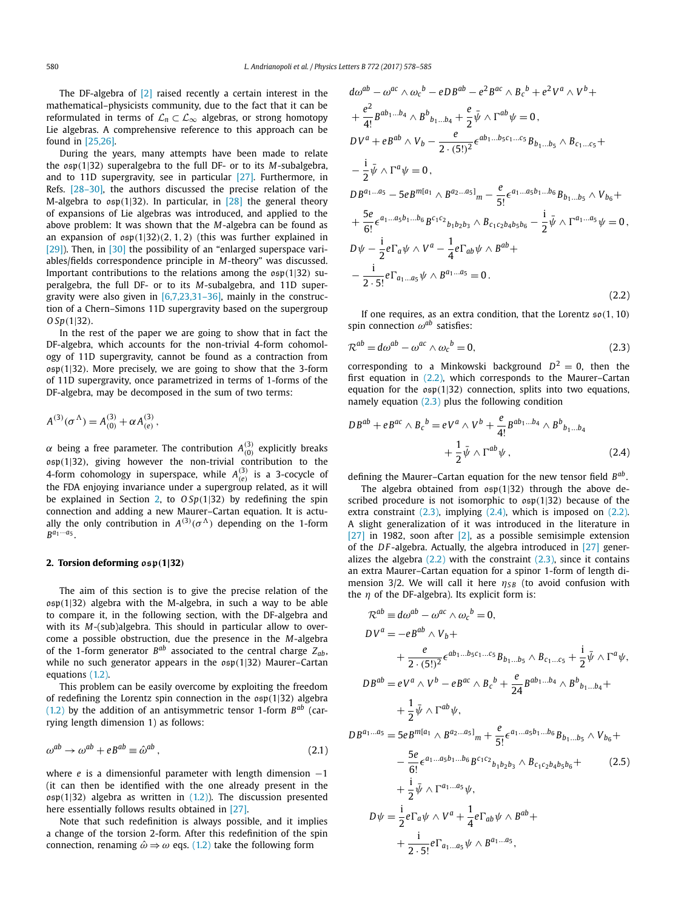The DF-algebra of [2] raised recently a certain interest in the mathematical–physicists community, due to the fact that it can be reformulated in terms of  $\mathcal{L}_n \subset \mathcal{L}_{\infty}$  algebras, or strong homotopy Lie algebras. A comprehensive reference to this approach can be found in [25,26].

During the years, many attempts have been made to relate the osp*(*1|32*)* superalgebra to the full DF- or to its *M*-subalgebra, and to 11D supergravity, see in particular [27]. Furthermore, in Refs. [28–30], the authors discussed the precise relation of the M-algebra to osp*(*1|32*)*. In particular, in [28] the general theory of expansions of Lie algebras was introduced, and applied to the above problem: It was shown that the *M*-algebra can be found as an expansion of osp*(*1|32*)(*2*,* 1*,* 2*)* (this was further explained in [29]). Then, in [30] the possibility of an "enlarged superspace variables/fields correspondence principle in *M*-theory" was discussed. Important contributions to the relations among the osp*(*1|32*)* superalgebra, the full DF- or to its *M*-subalgebra, and 11D supergravity were also given in  $[6,7,23,31-36]$ , mainly in the construction of a Chern–Simons 11D supergravity based on the supergroup *O Sp(*1|32*)*.

In the rest of the paper we are going to show that in fact the DF-algebra, which accounts for the non-trivial 4-form cohomology of 11D supergravity, cannot be found as a contraction from osp*(*1|32*)*. More precisely, we are going to show that the 3-form of 11D supergravity, once parametrized in terms of 1-forms of the DF-algebra, may be decomposed in the sum of two terms:

$$
A^{(3)}(\sigma^{\Lambda}) = A^{(3)}_{(0)} + \alpha A^{(3)}_{(e)},
$$

*α* being a free parameter. The contribution  $A_{(0)}^{(3)}$  explicitly breaks osp*(*1|32*)*, giving however the non-trivial contribution to the 4-form cohomology in superspace, while  $A_{(e)}^{(3)}$  is a 3-cocycle of the FDA enjoying invariance under a supergroup related, as it will be explained in Section 2, to *O Sp(*1|32*)* by redefining the spin connection and adding a new Maurer–Cartan equation. It is actually the only contribution in  $A^{(3)}(\sigma^{\Lambda})$  depending on the 1-form  $B^{a_1 \cdots a_5}$ .

#### **2. Torsion deforming osp***(***1|32***)*

The aim of this section is to give the precise relation of the osp*(*1|32*)* algebra with the M-algebra, in such a way to be able to compare it, in the following section, with the DF-algebra and with its *M*-(sub)algebra. This should in particular allow to overcome a possible obstruction, due the presence in the *M*-algebra of the 1-form generator  $B^{ab}$  associated to the central charge  $Z_{ab}$ , while no such generator appears in the osp*(*1|32*)* Maurer–Cartan equations (1.2).

This problem can be easily overcome by exploiting the freedom of redefining the Lorentz spin connection in the osp*(*1|32*)* algebra (1.2) by the addition of an antisymmetric tensor 1-form *Bab* (carrying length dimension 1) as follows:

$$
\omega^{ab} \to \omega^{ab} + eB^{ab} \equiv \hat{\omega}^{ab} \,, \tag{2.1}
$$

where *e* is a dimensionful parameter with length dimension −1 (it can then be identified with the one already present in the osp*(*1|32*)* algebra as written in (1.2)). The discussion presented here essentially follows results obtained in [27].

Note that such redefinition is always possible, and it implies a change of the torsion 2-form. After this redefinition of the spin connection, renaming  $\hat{\omega} \Rightarrow \omega$  eqs. (1.2) take the following form

$$
d\omega^{ab} - \omega^{ac} \wedge \omega_{c}{}^{b} - eDB^{ab} - e^{2}B^{ac} \wedge B_{c}{}^{b} + e^{2}V^{a} \wedge V^{b} +
$$
  
+  $\frac{e^{2}}{4!}B^{ab_{1...b_{4}}} \wedge B^{b_{b_{1...b_{4}}} + \frac{e}{2}\bar{\psi} \wedge \Gamma^{ab}\psi = 0,$   
 $D V^{a} + eB^{ab} \wedge V_{b} - \frac{e}{2 \cdot (5!)^{2}} \epsilon^{ab_{1...b_{5}c_{1...c_{5}}} B_{b_{1...b_{5}}} \wedge B_{c_{1...c_{5}}} +$   
-  $\frac{1}{2}\bar{\psi} \wedge \Gamma^{a}\psi = 0,$   
 $DB^{a_{1...a_{5}}} - 5eB^{m[a_{1}} \wedge B^{a_{2...a_{5}}]_{m} - \frac{e}{5!} \epsilon^{a_{1...a_{5}b_{1...b_{6}}} B_{b_{1...b_{5}}} \wedge V_{b_{6}} +$   
+  $\frac{5e}{6!} \epsilon^{a_{1...a_{5}b_{1...b_{6}}}B^{c_{1}c_{2}}{}_{b_{1}b_{2}b_{3}} \wedge B_{c_{1}c_{2}b_{4}b_{5}b_{6}} - \frac{i}{2}\bar{\psi} \wedge \Gamma^{a_{1...a_{5}}} \psi = 0,$   
 $D \psi - \frac{i}{2}e\Gamma_{a}\psi \wedge V^{a} - \frac{1}{4}e\Gamma_{ab}\psi \wedge B^{ab} +$   
-  $\frac{i}{2 \cdot 5!}e\Gamma_{a_{1...a_{5}}} \psi \wedge B^{a_{1...a_{5}}} = 0.$   
(2.2)

If one requires, as an extra condition, that the Lorentz so*(*1*,* 10*)* spin connection *ωab* satisfies:

$$
\mathcal{R}^{ab} = d\omega^{ab} - \omega^{ac} \wedge \omega_c{}^b = 0, \qquad (2.3)
$$

corresponding to a Minkowski background  $D^2 = 0$ , then the first equation in (2.2), which corresponds to the Maurer–Cartan equation for the osp*(*1|32*)* connection, splits into two equations, namely equation  $(2.3)$  plus the following condition

$$
DB^{ab} + eB^{ac} \wedge B_c{}^b = eV^a \wedge V^b + \frac{e}{4!} B^{ab_1...b_4} \wedge B^b{}_{b_1...b_4}
$$
  
+ 
$$
\frac{1}{2} \bar{\psi} \wedge \Gamma^{ab} \psi , \qquad (2.4)
$$

defining the Maurer–Cartan equation for the new tensor field *Bab* .

The algebra obtained from osp*(*1|32*)* through the above described procedure is not isomorphic to osp*(*1|32*)* because of the extra constraint  $(2.3)$ , implying  $(2.4)$ , which is imposed on  $(2.2)$ . A slight generalization of it was introduced in the literature in [27] in 1982, soon after [2], as a possible semisimple extension of the *D F* -algebra. Actually, the algebra introduced in [27] generalizes the algebra  $(2.2)$  with the constraint  $(2.3)$ , since it contains an extra Maurer–Cartan equation for a spinor 1-form of length dimension 3/2. We will call it here  $η<sub>SB</sub>$  (to avoid confusion with the *η* of the DF-algebra). Its explicit form is:

$$
\mathcal{R}^{ab} \equiv d\omega^{ab} - \omega^{ac} \wedge \omega_c{}^b = 0,
$$
  
\n
$$
DV^a = -e^{ab} \wedge V_b +
$$
  
\n
$$
+ \frac{e}{2 \cdot (5!)^2} \epsilon^{ab_1...b_5c_1...c_5} B_{b_1...b_5} \wedge B_{c_1...c_5} + \frac{i}{2} \bar{\psi} \wedge \Gamma^a \psi,
$$
  
\n
$$
DB^{ab} = eV^a \wedge V^b - e^{ac} \wedge B_c{}^b + \frac{e}{24} B^{ab_1...b_4} \wedge B^b{}_{b_1...b_4} +
$$
  
\n
$$
+ \frac{1}{2} \bar{\psi} \wedge \Gamma^{ab} \psi,
$$

$$
DB^{a_1...a_5} = 5eB^{m[a_1} \wedge B^{a_2...a_5]}m + \frac{e}{5!} \epsilon^{a_1...a_5b_1...b_6} B_{b_1...b_5} \wedge V_{b_6} +
$$
  
\n
$$
- \frac{5e}{6!} \epsilon^{a_1...a_5b_1...b_6} B^{c_1c_2}{}_{b_1b_2b_3} \wedge B_{c_1c_2b_4b_5b_6} +
$$
\n
$$
+ \frac{i}{2} \bar{\psi} \wedge \Gamma^{a_1...a_5} \psi,
$$
  
\n
$$
D\psi = \frac{i}{2} e\Gamma_a \psi \wedge V^a + \frac{1}{4} e\Gamma_{ab} \psi \wedge B^{ab} +
$$
  
\n
$$
+ \frac{i}{2 \cdot 5!} e\Gamma_{a_1...a_5} \psi \wedge B^{a_1...a_5},
$$
\n(2.5)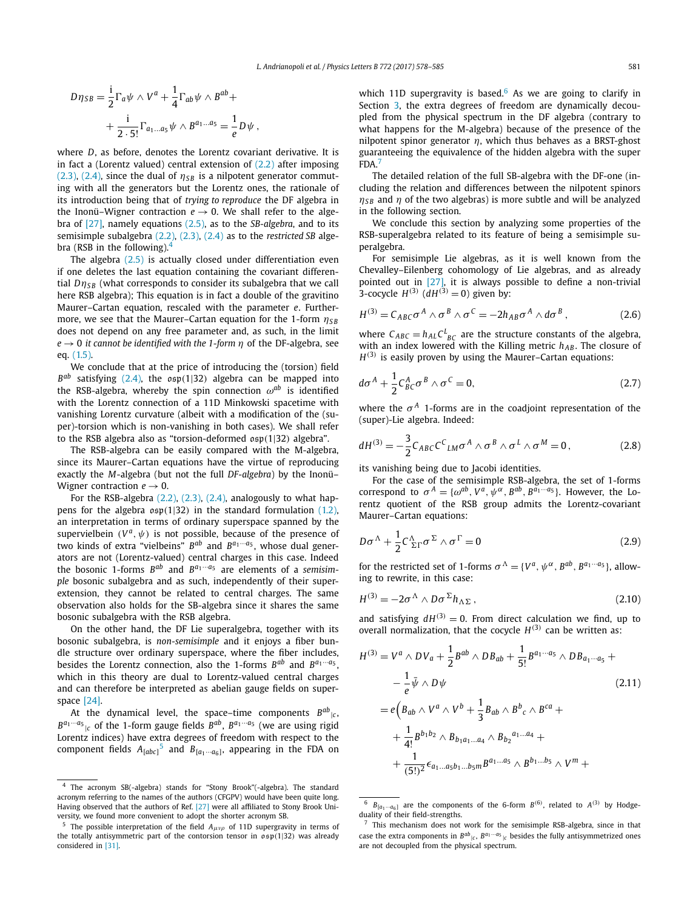$$
D\eta_{SB} = \frac{1}{2}\Gamma_a\psi \wedge V^a + \frac{1}{4}\Gamma_{ab}\psi \wedge B^{ab} +
$$

$$
+ \frac{1}{2\cdot 5!}\Gamma_{a_1...a_5}\psi \wedge B^{a_1...a_5} = \frac{1}{e}D\psi,
$$

where *D*, as before, denotes the Lorentz covariant derivative. It is in fact a (Lorentz valued) central extension of  $(2.2)$  after imposing (2.3), (2.4), since the dual of  $\eta_{SB}$  is a nilpotent generator commuting with all the generators but the Lorentz ones, the rationale of its introduction being that of *trying to reproduce* the DF algebra in the Inonü–Wigner contraction  $e \rightarrow 0$ . We shall refer to the algebra of [27], namely equations (2.5), as to the *SB-algebra*, and to its semisimple subalgebra (2.2), (2.3), (2.4) as to the *restricted SB* algebra (RSB in the following). $4$ 

The algebra (2.5) is actually closed under differentiation even if one deletes the last equation containing the covariant differential  $D\eta_{SB}$  (what corresponds to consider its subalgebra that we call here RSB algebra); This equation is in fact a double of the gravitino Maurer–Cartan equation, rescaled with the parameter *e*. Furthermore, we see that the Maurer–Cartan equation for the 1-form *ηS B* does not depend on any free parameter and, as such, in the limit  $e \rightarrow 0$  *it cannot be identified with the 1-form*  $\eta$  of *the* DF-algebra, see eq. (1.5).

We conclude that at the price of introducing the (torsion) field *Bab* satisfying (2.4), the osp*(*1|32*)* algebra can be mapped into the RSB-algebra, whereby the spin connection  $\omega^{ab}$  is identified with the Lorentz connection of a 11D Minkowski spacetime with vanishing Lorentz curvature (albeit with a modification of the (super)-torsion which is non-vanishing in both cases). We shall refer to the RSB algebra also as "torsion-deformed osp*(*1|32*)* algebra".

The RSB-algebra can be easily compared with the M-algebra, since its Maurer–Cartan equations have the virtue of reproducing exactly the *M*-algebra (but not the full *DF-algebra*) by the Inonü– Wigner contraction  $e \rightarrow 0$ .

For the RSB-algebra  $(2.2)$ ,  $(2.3)$ ,  $(2.4)$ , analogously to what happens for the algebra osp*(*1|32*)* in the standard formulation (1.2), an interpretation in terms of ordinary superspace spanned by the supervielbein  $(V^a, \psi)$  is not possible, because of the presence of two kinds of extra "vielbeins" *Bab* and *Ba*1···*a*<sup>5</sup> , whose dual generators are not (Lorentz-valued) central charges in this case. Indeed the bosonic 1-forms  $B^{ab}$  and  $B^{a_1 \cdots a_5}$  are elements of a *semisimple* bosonic subalgebra and as such, independently of their superextension, they cannot be related to central charges. The same observation also holds for the SB-algebra since it shares the same bosonic subalgebra with the RSB algebra.

On the other hand, the DF Lie superalgebra, together with its bosonic subalgebra, is *non-semisimple* and it enjoys a fiber bundle structure over ordinary superspace, where the fiber includes, besides the Lorentz connection, also the 1-forms  $B^{ab}$  and  $B^{a_1 \cdots a_5}$ , which in this theory are dual to Lorentz-valued central charges and can therefore be interpreted as abelian gauge fields on superspace [24].

At the dynamical level, the space–time components  $B^{ab}{}_{|c}$ ,  $B^{a_1 \cdots a_5}$  of the 1-form gauge fields  $B^{ab}$ ,  $B^{a_1 \cdots a_5}$  (we are using rigid Lorentz indices) have extra degrees of freedom with respect to the component fields  $A_{[abc]}^5$  and  $B_{[a_1\cdots a_6]}$ , appearing in the FDA on

which 11D supergravity is based.<sup>6</sup> As we are going to clarify in Section 3, the extra degrees of freedom are dynamically decoupled from the physical spectrum in the DF algebra (contrary to what happens for the M-algebra) because of the presence of the nilpotent spinor generator *η*, which thus behaves as a BRST-ghost guaranteeing the equivalence of the hidden algebra with the super FDA.<sup>7</sup>

The detailed relation of the full SB-algebra with the DF-one (including the relation and differences between the nilpotent spinors  $\eta_{SB}$  and  $\eta$  of the two algebras) is more subtle and will be analyzed in the following section.

We conclude this section by analyzing some properties of the RSB-superalgebra related to its feature of being a semisimple superalgebra.

For semisimple Lie algebras, as it is well known from the Chevalley–Eilenberg cohomology of Lie algebras, and as already pointed out in [27], it is always possible to define a non-trivial 3-cocycle  $H^{(3)}$  ( $dH^{(3)} = 0$ ) given by:

$$
H^{(3)} = C_{ABC}\sigma^A \wedge \sigma^B \wedge \sigma^C = -2h_{AB}\sigma^A \wedge d\sigma^B, \qquad (2.6)
$$

where  $C_{ABC} = h_{AL}C_{BC}^L$  are the structure constants of the algebra, with an index lowered with the Killing metric  $h_{AB}$ . The closure of  $H^{(3)}$  is easily proven by using the Maurer–Cartan equations:

$$
d\sigma^A + \frac{1}{2} C_{BC}^A \sigma^B \wedge \sigma^C = 0, \qquad (2.7)
$$

where the  $\sigma^A$  1-forms are in the coadjoint representation of the (super)-Lie algebra. Indeed:

$$
dH^{(3)} = -\frac{3}{2} C_{ABC} C^{C}{}_{LM} \sigma^{A} \wedge \sigma^{B} \wedge \sigma^{L} \wedge \sigma^{M} = 0, \qquad (2.8)
$$

its vanishing being due to Jacobi identities.

For the case of the semisimple RSB-algebra, the set of 1-forms correspond to  $\sigma^A = {\omega^{ab}, V^a, \psi^{\alpha}, B^{ab}, B^{a_1 \cdots a_5}}$ . However, the Lorentz quotient of the RSB group admits the Lorentz-covariant Maurer–Cartan equations:

$$
D\sigma^{\Lambda} + \frac{1}{2} C_{\Sigma\Gamma}^{\Lambda} \sigma^{\Sigma} \wedge \sigma^{\Gamma} = 0
$$
 (2.9)

for the restricted set of 1-forms  $\sigma^A = \{V^a, \psi^\alpha, B^{ab}, B^{a_1 \cdots a_5}\}\$ , allowing to rewrite, in this case:

$$
H^{(3)} = -2\sigma^{\Lambda} \wedge D\sigma^{\Sigma} h_{\Lambda\Sigma} , \qquad (2.10)
$$

and satisfying  $dH^{(3)} = 0$ . From direct calculation we find, up to overall normalization, that the cocycle  $H^{(3)}$  can be written as:

$$
H^{(3)} = V^a \wedge DV_a + \frac{1}{2} B^{ab} \wedge DB_{ab} + \frac{1}{5!} B^{a_1 \cdots a_5} \wedge DB_{a_1 \cdots a_5} +
$$
  
\n
$$
- \frac{1}{e} \bar{\psi} \wedge D\psi
$$
\n
$$
= e \Big( B_{ab} \wedge V^a \wedge V^b + \frac{1}{3} B_{ab} \wedge B^b{}_c \wedge B^{ca} +
$$
  
\n
$$
+ \frac{1}{4!} B^{b_1 b_2} \wedge B_{b_1 a_1 \cdots a_4} \wedge B_{b_2} a_1 \cdots a_4 +
$$
  
\n
$$
+ \frac{1}{(5!)^2} \epsilon_{a_1 \ldots a_5 b_1 \ldots b_5 m} B^{a_1 \ldots a_5} \wedge B^{b_1 \ldots b_5} \wedge V^m +
$$
\n(2.11)

The acronym SB(-algebra) stands for "Stony Brook"(-algebra). The standard acronym referring to the names of the authors (CFGPV) would have been quite long. Having observed that the authors of Ref. [27] were all affiliated to Stony Brook University, we found more convenient to adopt the shorter acronym SB.

<sup>5</sup> The possible interpretation of the field *Aμνρ* of 11D supergravity in terms of the totally antisymmetric part of the contorsion tensor in osp*(*1|32*)* was already considered in [31].

 $B_{[a_1 \cdots a_6]}$  are the components of the 6-form  $B^{(6)}$ , related to  $A^{(3)}$  by Hodgeduality of their field-strengths.

 $7$  This mechanism does not work for the semisimple RSB-algebra, since in that case the extra components in  $B^{ab}$ <sub>*ic*</sub>,  $B^{a_1 \cdots a_5}$ <sub>*ic*</sub> besides the fully antisymmetrized ones are not decoupled from the physical spectrum.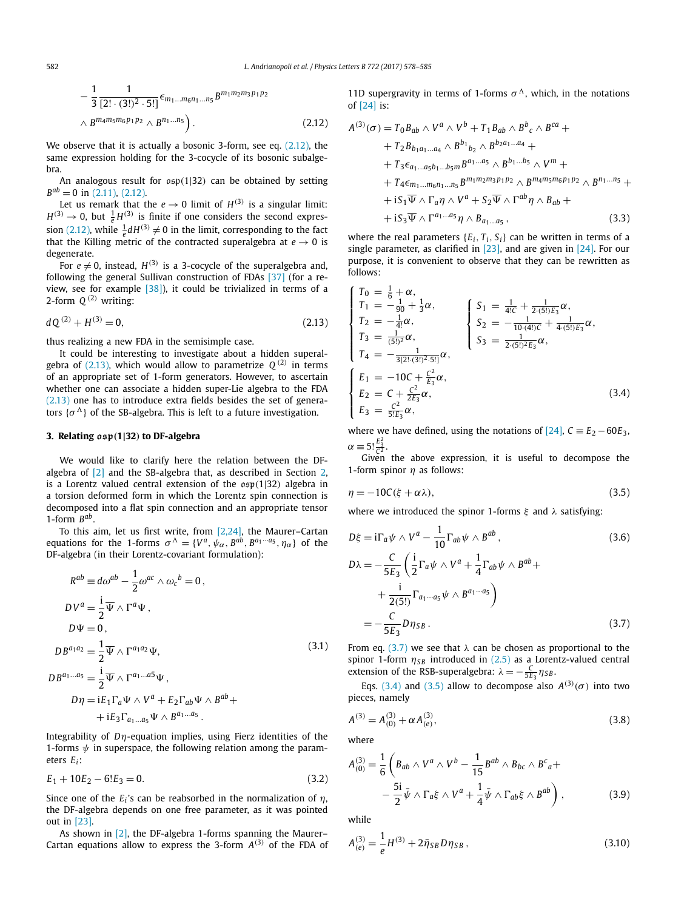$$
-\frac{1}{3}\frac{1}{[2! \cdot (3!)^2 \cdot 5!]} \epsilon_{m_1...m_6n_1...n_5} B^{m_1m_2m_3p_1p_2} \wedge B^{m_4m_5m_6p_1p_2} \wedge B^{n_1...n_5}.
$$
\n(2.12)

We observe that it is actually a bosonic 3-form, see eq. (2.12), the same expression holding for the 3-cocycle of its bosonic subalgebra.

An analogous result for osp*(*1|32*)* can be obtained by setting  $B^{ab} = 0$  in (2.11), (2.12).

Let us remark that the  $e \rightarrow 0$  limit of  $H^{(3)}$  is a singular limit:  $H^{(3)} \rightarrow 0$ , but  $\frac{1}{e}H^{(3)}$  is finite if one considers the second expression (2.12), while  $\frac{1}{e}dH^{(3)} \neq 0$  in the limit, corresponding to the fact that the Killing metric of the contracted superalgebra at  $e \rightarrow 0$  is degenerate.

For  $e \neq 0$ , instead,  $H^{(3)}$  is a 3-cocycle of the superalgebra and, following the general Sullivan construction of FDAs [37] (for a review, see for example [38]), it could be trivialized in terms of a 2-form  $Q^{(2)}$  writing:

$$
dQ^{(2)} + H^{(3)} = 0,\t\t(2.13)
$$

thus realizing a new FDA in the semisimple case.

It could be interesting to investigate about a hidden superalgebra of (2.13), which would allow to parametrize  $Q^{(2)}$  in terms of an appropriate set of 1-form generators. However, to ascertain whether one can associate a hidden super-Lie algebra to the FDA (2.13) one has to introduce extra fields besides the set of generators  $\{\sigma^{\Lambda}\}\$  of the SB-algebra. This is left to a future investigation.

#### **3. Relating osp***(***1|32***)* **to DF-algebra**

We would like to clarify here the relation between the DFalgebra of [2] and the SB-algebra that, as described in Section 2, is a Lorentz valued central extension of the osp*(*1|32*)* algebra in a torsion deformed form in which the Lorentz spin connection is decomposed into a flat spin connection and an appropriate tensor 1-form *Bab*.

To this aim, let us first write, from  $[2,24]$ , the Maurer–Cartan equations for the 1-forms  $\sigma^A = \{V^a, \psi_\alpha, B^{ab}, B^{a_1 \cdots a_5}, \eta_\alpha\}$  of the DF-algebra (in their Lorentz-covariant formulation):

$$
R^{ab} \equiv d\omega^{ab} - \frac{1}{2}\omega^{ac} \wedge \omega_c{}^b = 0,
$$
  
\n
$$
DV^a = \frac{i}{2}\overline{\Psi} \wedge \Gamma^a\Psi,
$$
  
\n
$$
D\Psi = 0,
$$
  
\n
$$
DB^{a_1a_2} = \frac{1}{2}\overline{\Psi} \wedge \Gamma^{a_1a_2}\Psi,
$$
  
\n
$$
DB^{a_1...a_5} = \frac{i}{2}\overline{\Psi} \wedge \Gamma^{a_1...a_5}\Psi,
$$
  
\n
$$
D\eta = iE_1\Gamma_a\Psi \wedge V^a + E_2\Gamma_{ab}\Psi \wedge B^{ab} +
$$
  
\n
$$
+ iE_3\Gamma_{a_1...a_5}\Psi \wedge B^{a_1...a_5}.
$$
  
\n(3.1)

Integrability of *Dη*-equation implies, using Fierz identities of the 1-forms *ψ* in superspace, the following relation among the parameters *Ei*:

$$
E_1 + 10E_2 - 6!E_3 = 0. \tag{3.2}
$$

Since one of the  $E_i$ 's can be reabsorbed in the normalization of  $\eta$ , the DF-algebra depends on one free parameter, as it was pointed out in [23].

As shown in [2], the DF-algebra 1-forms spanning the Maurer– Cartan equations allow to express the 3-form  $A^{(3)}$  of the FDA of 11D supergravity in terms of 1-forms  $\sigma^{\Lambda}$ , which, in the notations of [24] is:

$$
A^{(3)}(\sigma) = T_0 B_{ab} \wedge V^a \wedge V^b + T_1 B_{ab} \wedge B^b{}_c \wedge B^{ca} +
$$
  
+  $T_2 B_{b_1 a_1...a_4} \wedge B^{b_1}{}_{b_2} \wedge B^{b_2 a_1...a_4} +$   
+  $T_3 \epsilon_{a_1...a_5 b_1...b_5 m} B^{a_1...a_5} \wedge B^{b_1...b_5} \wedge V^m +$   
+  $T_4 \epsilon_{m_1...m_6 n_1...n_5} B^{m_1 m_2 m_3 p_1 p_2} \wedge B^{m_4 m_5 m_6 p_1 p_2} \wedge B^{n_1...n_5} +$   
+  $iS_1 \overline{\Psi} \wedge \Gamma_a \eta \wedge V^a + S_2 \overline{\Psi} \wedge \Gamma^{ab} \eta \wedge B_{ab} +$   
+  $iS_3 \overline{\Psi} \wedge \Gamma^{a_1...a_5} \eta \wedge B_{a_1...a_5}$ , (3.3)

where the real parameters  ${E_i, T_i, S_i}$  can be written in terms of a single parameter, as clarified in  $[23]$ , and are given in  $[24]$ . For our purpose, it is convenient to observe that they can be rewritten as follows:

$$
\begin{cases}\nT_0 = \frac{1}{6} + \alpha, \\
T_1 = -\frac{1}{90} + \frac{1}{3}\alpha, \\
T_2 = -\frac{1}{4!}\alpha, \\
T_3 = \frac{1}{(5!)^2}\alpha, \\
T_4 = -\frac{1}{3[2! \cdot (3!)^2 \cdot 5!]} \alpha, \\
E_1 = -10C + \frac{C^2}{E_3} \alpha, \\
E_2 = C + \frac{C^2}{2E_3} \alpha, \\
E_3 = \frac{1}{5!E_3} \alpha,\n\end{cases}\n\begin{cases}\nS_1 = \frac{1}{4!C} + \frac{1}{2 \cdot (5!)E_3} \alpha, \\
S_2 = -\frac{1}{10 \cdot (4!)C} + \frac{1}{4 \cdot (5!)E_3} \alpha, \\
S_3 = \frac{1}{2 \cdot (5!)^2 E_3} \alpha,\n\end{cases}
$$
\n(3.4)

where we have defined, using the notations of  $[24]$ ,  $C = E_2 - 60E_3$ ,  $\alpha \equiv 5! \frac{E_3^2}{C^2}.$ 

Given the above expression, it is useful to decompose the 1-form spinor *η* as follows:

$$
\eta = -10C(\xi + \alpha \lambda),\tag{3.5}
$$

where we introduced the spinor 1-forms *ξ* and *λ* satisfying:

$$
D\xi = i\Gamma_a \psi \wedge V^a - \frac{1}{10} \Gamma_{ab} \psi \wedge B^{ab},
$$
\n
$$
D\lambda = -\frac{C}{5E_3} \left( \frac{i}{2} \Gamma_a \psi \wedge V^a + \frac{1}{4} \Gamma_{ab} \psi \wedge B^{ab} + \frac{i}{2(5!)} \Gamma_{a_1 \cdots a_5} \psi \wedge B^{a_1 \cdots a_5} \right)
$$
\n
$$
= -\frac{C}{5E_3} D \eta_{SB}.
$$
\n(3.7)

From eq. (3.7) we see that  $\lambda$  can be chosen as proportional to the spinor 1-form  $η_{SB}$  introduced in (2.5) as a Lorentz-valued central extension of the RSB-superalgebra:  $\lambda = -\frac{C}{5E_3} \eta_{SB}$ .

Eqs. (3.4) and (3.5) allow to decompose also  $A^{(3)}(\sigma)$  into two pieces, namely

$$
A^{(3)} = A^{(3)}_{(0)} + \alpha A^{(3)}_{(e)},
$$
\n(3.8)

where

$$
A_{(0)}^{(3)} = \frac{1}{6} \left( B_{ab} \wedge V^a \wedge V^b - \frac{1}{15} B^{ab} \wedge B_{bc} \wedge B^c{}_a + \right. \\ - \frac{5i}{2} \bar{\psi} \wedge \Gamma_a \xi \wedge V^a + \frac{1}{4} \bar{\psi} \wedge \Gamma_{ab} \xi \wedge B^{ab} \right), \tag{3.9}
$$

while

$$
A_{(e)}^{(3)} = \frac{1}{e}H^{(3)} + 2\bar{\eta}_{SB}D\eta_{SB},
$$
\n(3.10)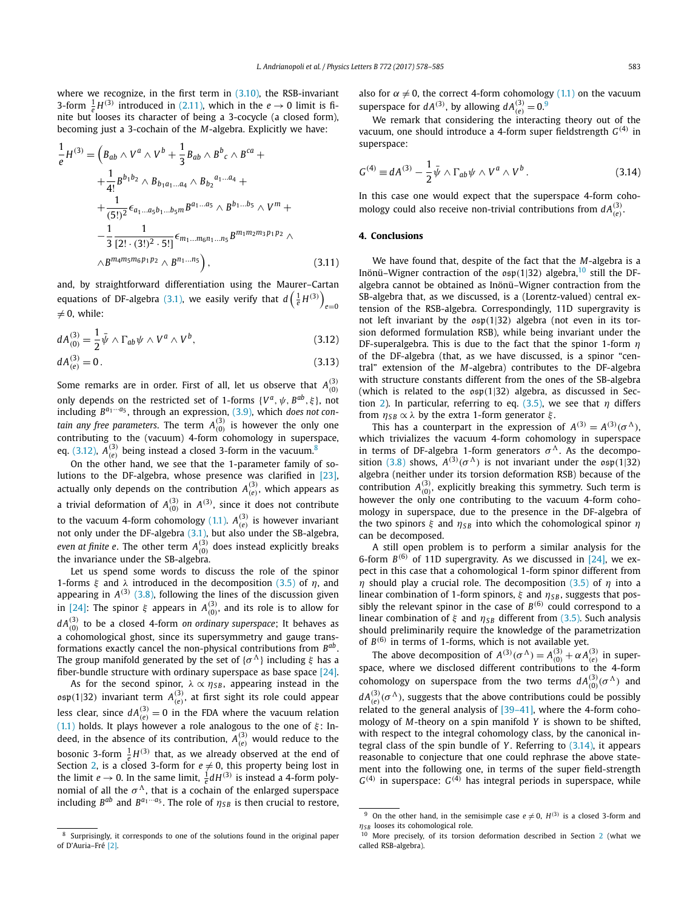where we recognize, in the first term in (3.10), the RSB-invariant 3-form  $\frac{1}{e}H^{(3)}$  introduced in (2.11), which in the  $e \rightarrow 0$  limit is finite but looses its character of being a 3-cocycle (a closed form), becoming just a 3-cochain of the *M*-algebra. Explicitly we have:

$$
\frac{1}{e}H^{(3)} = \left(B_{ab} \wedge V^a \wedge V^b + \frac{1}{3}B_{ab} \wedge B^b{}_c \wedge B^{ca} + \frac{1}{4!}B^{b_1b_2} \wedge B_{b_1a_1...a_4} \wedge B_{b_2}^{a_1...a_4} + \frac{1}{(5!)^2} \epsilon_{a_1...a_5b_1...b_5m} B^{a_1...a_5} \wedge B^{b_1...b_5} \wedge V^m + \frac{1}{3} \frac{1}{[2! \cdot (3!)^2 \cdot 5!]} \epsilon_{m_1...m_6n_1...n_5} B^{m_1m_2m_3p_1p_2} \wedge \epsilon_{m_1...m_5p_1p_2} \wedge B^{m_4m_5m_6p_1p_2} \wedge B^{n_1...n_5} \right), \tag{3.11}
$$

and, by straightforward differentiation using the Maurer–Cartan equations of DF-algebra (3.1), we easily verify that  $d\left(\frac{1}{e}H^{(3)}\right)$ *e*=0 :  $\neq$  0, while:

$$
dA_{(0)}^{(3)} = \frac{1}{2}\bar{\psi}\wedge\Gamma_{ab}\psi\wedge V^a\wedge V^b,\tag{3.12}
$$

$$
dA_{(e)}^{(3)} = 0.
$$
\n(3.13)

Some remarks are in order. First of all, let us observe that  $A_{(0)}^{(3)}$ only depends on the restricted set of 1-forms  $\{V^a, \psi, B^{ab}, \xi\}$ , not including *Ba*1···*a*<sup>5</sup> , through an expression, (3.9), which *does not contain any free parameters. The term*  $A_{(0)}^{(3)}$  *is however the only one* contributing to the (vacuum) 4-form cohomology in superspace, eq. (3.12),  $A_{(e)}^{(3)}$  being instead a closed 3-form in the vacuum.<sup>8</sup>

On the other hand, we see that the 1-parameter family of solutions to the DF-algebra, whose presence was clarified in [23], actually only depends on the contribution  $A_{(e)}^{(3)}$ , which appears as a trivial deformation of  $A_{(0)}^{(3)}$  in  $A^{(3)}$ , since it does not contribute to the vacuum 4-form cohomology (1.1).  $A_{(e)}^{(3)}$  is however invariant not only under the DF-algebra  $(3.1)$ , but also under the SB-algebra, *even at finite e.* The other term  $A_{(0)}^{(3)}$  does instead explicitly breaks the invariance under the SB-algebra.

Let us spend some words to discuss the role of the spinor 1-forms *ξ* and *λ* introduced in the decomposition (3.5) of *η*, and appearing in  $A^{(3)}$  (3.8), following the lines of the discussion given in [24]: The spinor  $\xi$  appears in  $A_{(0)}^{(3)}$ , and its role is to allow for  $dA_{(0)}^{(3)}$  to be a closed 4-form *on ordinary superspace*; It behaves as a cohomological ghost, since its supersymmetry and gauge transformations exactly cancel the non-physical contributions from *Bab* . The group manifold generated by the set of  $\{\sigma^{\Lambda}\}\$ including  $\xi$  has a fiber-bundle structure with ordinary superspace as base space [24].

As for the second spinor,  $\lambda \propto \eta_{SB}$ , appearing instead in the  $\mathfrak{osp}(1|32)$  invariant term  $A^{(3)}_{(e)}$ , at first sight its role could appear less clear, since  $dA^{(3)}_{(e)}=0$  in the FDA where the vacuum relation (1.1) holds. It plays however a role analogous to the one of  $\xi$ : Indeed, in the absence of its contribution,  $A_{(e)}^{(3)}$  would reduce to the bosonic 3-form  $\frac{1}{e}H^{(3)}$  that, as we already observed at the end of Section 2, is a closed 3-form for  $e \neq 0$ , this property being lost in the limit  $e \rightarrow 0$ . In the same limit,  $\frac{1}{e} dH^{(3)}$  is instead a 4-form polynomial of all the  $\sigma^{\Lambda}$ , that is a cochain of the enlarged superspace including  $B^{ab}$  and  $B^{a_1 \cdots a_5}$ . The role of  $\eta_{SB}$  is then crucial to restore,

also for  $\alpha \neq 0$ , the correct 4-form cohomology (1.1) on the vacuum superspace for  $dA^{(3)}$ , by allowing  $dA^{(3)}_{(e)} = 0$ .<sup>9</sup>

We remark that considering the interacting theory out of the vacuum, one should introduce a 4-form super fieldstrength *G(*4*)* in superspace:

$$
G^{(4)} \equiv dA^{(3)} - \frac{1}{2}\bar{\psi} \wedge \Gamma_{ab}\psi \wedge V^a \wedge V^b. \qquad (3.14)
$$

In this case one would expect that the superspace 4-form cohomology could also receive non-trivial contributions from  $dA^{(3)}_{(e)}$ .

### **4. Conclusions**

We have found that, despite of the fact that the *M*-algebra is a Inönü–Wigner contraction of the  $\mathfrak{osp}(1|32)$  algebra,<sup>10</sup> still the DFalgebra cannot be obtained as Inönü–Wigner contraction from the SB-algebra that, as we discussed, is a (Lorentz-valued) central extension of the RSB-algebra. Correspondingly, 11D supergravity is not left invariant by the osp*(*1|32*)* algebra (not even in its torsion deformed formulation RSB), while being invariant under the DF-superalgebra. This is due to the fact that the spinor 1-form *η* of the DF-algebra (that, as we have discussed, is a spinor "central" extension of the *M*-algebra) contributes to the DF-algebra with structure constants different from the ones of the SB-algebra (which is related to the osp*(*1|32*)* algebra, as discussed in Section 2). In particular, referring to eq.  $(3.5)$ , we see that  $\eta$  differs from  $η_{SB}$   $\propto$  *λ* by the extra 1-form generator *ξ*.

This has a counterpart in the expression of  $A^{(3)} = A^{(3)}(\sigma^{\Lambda})$ , which trivializes the vacuum 4-form cohomology in superspace in terms of DF-algebra 1-form generators  $\sigma^{\Lambda}$ . As the decomposition (3.8) shows,  $A^{(3)}(\sigma^{\Lambda})$  is not invariant under the  $\mathfrak{osp}(1|32)$ algebra (neither under its torsion deformation RSB) because of the contribution  $A_{(0)}^{(3)}$ , explicitly breaking this symmetry. Such term is however the only one contributing to the vacuum 4-form cohomology in superspace, due to the presence in the DF-algebra of the two spinors *ξ* and  $η<sub>SB</sub>$  into which the cohomological spinor *η* can be decomposed.

A still open problem is to perform a similar analysis for the 6-form  $B^{(6)}$  of 11D supergravity. As we discussed in [24], we expect in this case that a cohomological 1-form spinor different from *η* should play a crucial role. The decomposition (3.5) of *η* into a linear combination of 1-form spinors,  $ξ$  and  $η_{SB}$ , suggests that possibly the relevant spinor in the case of  $B^{(6)}$  could correspond to a linear combination of *ξ* and  $η<sub>SB</sub>$  different from (3.5). Such analysis should preliminarily require the knowledge of the parametrization of *B(*6*)* in terms of 1-forms, which is not available yet.

The above decomposition of  $A^{(3)}(\sigma^{\Lambda}) = A^{(3)}_{(0)} + \alpha A^{(3)}_{(e)}$  in superspace, where we disclosed different contributions to the 4-form cohomology on superspace from the two terms  $dA_{(0)}^{(3)}(\sigma^{\Lambda})$  and  $dA^{(3)}_{(e)}(\sigma^{\Lambda})$ , suggests that the above contributions could be possibly related to the general analysis of [39–41], where the 4-form cohomology of *M*-theory on a spin manifold *Y* is shown to be shifted, with respect to the integral cohomology class, by the canonical integral class of the spin bundle of *Y* . Referring to (3.14), it appears reasonable to conjecture that one could rephrase the above statement into the following one, in terms of the super field-strength  $G^{(4)}$  in superspace:  $G^{(4)}$  has integral periods in superspace, while

Surprisingly, it corresponds to one of the solutions found in the original paper of D'Auria–Fré [2].

<sup>&</sup>lt;sup>9</sup> On the other hand, in the semisimple case  $e \neq 0$ ,  $H^{(3)}$  is a closed 3-form and *η*<sub>SB</sub> looses its cohomological role.

More precisely, of its torsion deformation described in Section 2 (what we called RSB-algebra).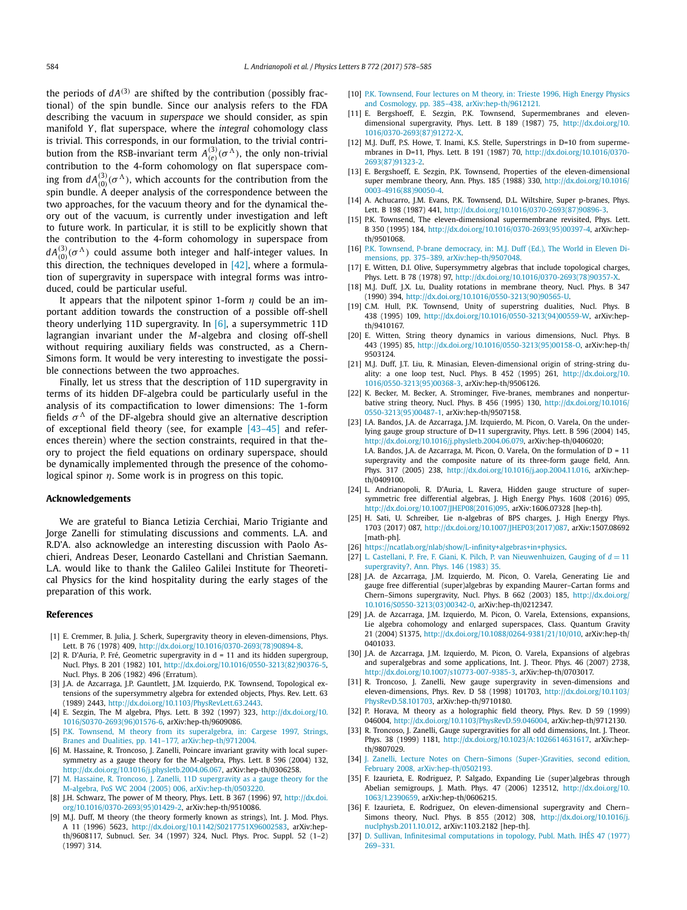the periods of  $dA^{(3)}$  are shifted by the contribution (possibly fractional) of the spin bundle. Since our analysis refers to the FDA describing the vacuum in *superspace* we should consider, as spin manifold *Y* , flat superspace, where the *integral* cohomology class is trivial. This corresponds, in our formulation, to the trivial contribution from the RSB-invariant term  $A_{(e)}^{(3)}(\sigma^{\Lambda})$ , the only non-trivial contribution to the 4-form cohomology on flat superspace coming from  $dA_{(0)}^{(3)}(\sigma^A)$ , which accounts for the contribution from the spin bundle. A deeper analysis of the correspondence between the two approaches, for the vacuum theory and for the dynamical theory out of the vacuum, is currently under investigation and left to future work. In particular, it is still to be explicitly shown that the contribution to the 4-form cohomology in superspace from  $dA_{(0)}^{(3)}(\sigma^{\Lambda})$  could assume both integer and half-integer values. In this direction, the techniques developed in [42], where a formulation of supergravity in superspace with integral forms was introduced, could be particular useful.

It appears that the nilpotent spinor 1-form *η* could be an important addition towards the construction of a possible off-shell theory underlying 11D supergravity. In  $[6]$ , a supersymmetric 11D lagrangian invariant under the *M*-algebra and closing off-shell without requiring auxiliary fields was constructed, as a Chern-Simons form. It would be very interesting to investigate the possible connections between the two approaches.

Finally, let us stress that the description of 11D supergravity in terms of its hidden DF-algebra could be particularly useful in the analysis of its compactification to lower dimensions: The 1-form fields  $\sigma^{\Lambda}$  of the DF-algebra should give an alternative description of exceptional field theory (see, for example [43–45] and references therein) where the section constraints, required in that theory to project the field equations on ordinary superspace, should be dynamically implemented through the presence of the cohomological spinor *η*. Some work is in progress on this topic.

#### **Acknowledgements**

We are grateful to Bianca Letizia Cerchiai, Mario Trigiante and Jorge Zanelli for stimulating discussions and comments. L.A. and R.D'A. also acknowledge an interesting discussion with Paolo Aschieri, Andreas Deser, Leonardo Castellani and Christian Saemann. L.A. would like to thank the Galileo Galilei Institute for Theoretical Physics for the kind hospitality during the early stages of the preparation of this work.

#### **References**

- [1] E. Cremmer, B. Julia, J. Scherk, Supergravity theory in eleven-dimensions, Phys. Lett. B 76 (1978) 409, [http://dx.doi.org/10.1016/0370-2693\(78\)90894-8.](http://dx.doi.org/10.1016/0370-2693(78)90894-8)
- [2] R. D'Auria, P. Fré, Geometric supergravity in d = 11 and its hidden supergroup, Nucl. Phys. B 201 (1982) 101, [http://dx.doi.org/10.1016/0550-3213\(82\)90376-5](http://dx.doi.org/10.1016/0550-3213(82)90376-5), Nucl. Phys. B 206 (1982) 496 (Erratum).
- [3] J.A. de Azcarraga, J.P. Gauntlett, J.M. Izquierdo, P.K. Townsend, Topological extensions of the supersymmetry algebra for extended objects, Phys. Rev. Lett. 63 (1989) 2443, <http://dx.doi.org/10.1103/PhysRevLett.63.2443>.
- [4] E. Sezgin, The M algebra, Phys. Lett. B 392 (1997) 323, [http://dx.doi.org/10.](http://dx.doi.org/10.1016/S0370-2693(96)01576-6) [1016/S0370-2693\(96\)01576-6,](http://dx.doi.org/10.1016/S0370-2693(96)01576-6) arXiv:hep-th/9609086.
- [5] P.K. Townsend, M theory from its [superalgebra,](http://refhub.elsevier.com/S0370-2693(17)30563-4/bib546F776E73656E643A313939377767s1) in: Cargese 1997, Strings, Branes and Dualities, pp. 141–177, [arXiv:hep-th/9712004.](http://refhub.elsevier.com/S0370-2693(17)30563-4/bib546F776E73656E643A313939377767s1)
- [6] M. Hassaine, R. Troncoso, J. Zanelli, Poincare invariant gravity with local supersymmetry as a gauge theory for the M-algebra, Phys. Lett. B 596 (2004) 132, <http://dx.doi.org/10.1016/j.physletb.2004.06.067>, arXiv:hep-th/0306258.
- [7] M. Hassaine, R. Troncoso, J. Zanelli, 11D [supergravity](http://refhub.elsevier.com/S0370-2693(17)30563-4/bib4861737361696E653A323030347070s1) as a gauge theory for the M-algebra, PoS WC 2004 (2005) 006, [arXiv:hep-th/0503220.](http://refhub.elsevier.com/S0370-2693(17)30563-4/bib4861737361696E653A323030347070s1)
- [8] J.H. Schwarz, The power of M theory, Phys. Lett. B 367 (1996) 97, [http://dx.doi.](http://dx.doi.org/10.1016/0370-2693(95)01429-2) [org/10.1016/0370-2693\(95\)01429-2](http://dx.doi.org/10.1016/0370-2693(95)01429-2), arXiv:hep-th/9510086.
- [9] M.J. Duff, M theory (the theory formerly known as strings), Int. J. Mod. Phys. A 11 (1996) 5623, <http://dx.doi.org/10.1142/S0217751X96002583>, arXiv:hepth/9608117, Subnucl. Ser. 34 (1997) 324, Nucl. Phys. Proc. Suppl. 52 (1–2) (1997) 314.
- [10] P.K. [Townsend,](http://refhub.elsevier.com/S0370-2693(17)30563-4/bib546F776E73656E643A31393936786As1) Four lectures on M theory, in: Trieste 1996, High Energy Physics and Cosmology, pp. 385–438, [arXiv:hep-th/9612121.](http://refhub.elsevier.com/S0370-2693(17)30563-4/bib546F776E73656E643A31393936786As1)
- [11] E. Bergshoeff, E. Sezgin, P.K. Townsend, Supermembranes and elevendimensional supergravity, Phys. Lett. B 189 (1987) 75, [http://dx.doi.org/10.](http://dx.doi.org/10.1016/0370-2693(87)91272-X) [1016/0370-2693\(87\)91272-X.](http://dx.doi.org/10.1016/0370-2693(87)91272-X)
- [12] M.J. Duff, P.S. Howe, T. Inami, K.S. Stelle, Superstrings in D=10 from supermembranes in D=11, Phys. Lett. B 191 (1987) 70, [http://dx.doi.org/10.1016/0370-](http://dx.doi.org/10.1016/0370-2693(87)91323-2) [2693\(87\)91323-2](http://dx.doi.org/10.1016/0370-2693(87)91323-2).
- [13] E. Bergshoeff, E. Sezgin, P.K. Townsend, Properties of the eleven-dimensional super membrane theory, Ann. Phys. 185 (1988) 330, [http://dx.doi.org/10.1016/](http://dx.doi.org/10.1016/0003-4916(88)90050-4) [0003-4916\(88\)90050-4](http://dx.doi.org/10.1016/0003-4916(88)90050-4).
- [14] A. Achucarro, J.M. Evans, P.K. Townsend, D.L. Wiltshire, Super p-branes, Phys. Lett. B 198 (1987) 441, [http://dx.doi.org/10.1016/0370-2693\(87\)90896-3.](http://dx.doi.org/10.1016/0370-2693(87)90896-3)
- [15] P.K. Townsend, The eleven-dimensional supermembrane revisited, Phys. Lett. B 350 (1995) 184, [http://dx.doi.org/10.1016/0370-2693\(95\)00397-4,](http://dx.doi.org/10.1016/0370-2693(95)00397-4) arXiv:hepth/9501068.
- [16] P.K. Townsend, P-brane [democracy,](http://refhub.elsevier.com/S0370-2693(17)30563-4/bib546F776E73656E643A313939356770s1) in: M.J. Duff (Ed.), The World in Eleven Dimensions, pp. 375–389, [arXiv:hep-th/9507048.](http://refhub.elsevier.com/S0370-2693(17)30563-4/bib546F776E73656E643A313939356770s1)
- [17] E. Witten, D.I. Olive, Supersymmetry algebras that include topological charges, Phys. Lett. B 78 (1978) 97, [http://dx.doi.org/10.1016/0370-2693\(78\)90357-X.](http://dx.doi.org/10.1016/0370-2693(78)90357-X)
- [18] M.J. Duff, J.X. Lu, Duality rotations in membrane theory, Nucl. Phys. B 347 (1990) 394, [http://dx.doi.org/10.1016/0550-3213\(90\)90565-U.](http://dx.doi.org/10.1016/0550-3213(90)90565-U)
- [19] C.M. Hull, P.K. Townsend, Unity of superstring dualities, Nucl. Phys. B 438 (1995) 109, [http://dx.doi.org/10.1016/0550-3213\(94\)00559-W,](http://dx.doi.org/10.1016/0550-3213(94)00559-W) arXiv:hepth/9410167.
- [20] E. Witten, String theory dynamics in various dimensions, Nucl. Phys. B 443 (1995) 85, [http://dx.doi.org/10.1016/0550-3213\(95\)00158-O,](http://dx.doi.org/10.1016/0550-3213(95)00158-O) arXiv:hep-th/ 9503124.
- [21] M.J. Duff, J.T. Liu, R. Minasian, Eleven-dimensional origin of string-string duality: a one loop test, Nucl. Phys. B 452 (1995) 261, [http://dx.doi.org/10.](http://dx.doi.org/10.1016/0550-3213(95)00368-3) [1016/0550-3213\(95\)00368-3](http://dx.doi.org/10.1016/0550-3213(95)00368-3), arXiv:hep-th/9506126.
- [22] K. Becker, M. Becker, A. Strominger, Five-branes, membranes and nonperturbative string theory, Nucl. Phys. B 456 (1995) 130, [http://dx.doi.org/10.1016/](http://dx.doi.org/10.1016/0550-3213(95)00487-1) [0550-3213\(95\)00487-1](http://dx.doi.org/10.1016/0550-3213(95)00487-1), arXiv:hep-th/9507158.
- [23] I.A. Bandos, J.A. de Azcarraga, J.M. Izquierdo, M. Picon, O. Varela, On the underlying gauge group structure of D=11 supergravity, Phys. Lett. B 596 (2004) 145, <http://dx.doi.org/10.1016/j.physletb.2004.06.079>, arXiv:hep-th/0406020; I.A. Bandos, J.A. de Azcarraga, M. Picon, O. Varela, On the formulation of D = 11 supergravity and the composite nature of its three-form gauge field, Ann. Phys. 317 (2005) 238, <http://dx.doi.org/10.1016/j.aop.2004.11.016>, arXiv:hepth/0409100.
- [24] L. Andrianopoli, R. D'Auria, L. Ravera, Hidden gauge structure of supersymmetric free differential algebras, J. High Energy Phys. 1608 (2016) 095, [http://dx.doi.org/10.1007/JHEP08\(2016\)095](http://dx.doi.org/10.1007/JHEP08(2016)095), arXiv:1606.07328 [hep-th].
- [25] H. Sati, U. Schreiber, Lie n-algebras of BPS charges, J. High Energy Phys. 1703 (2017) 087, [http://dx.doi.org/10.1007/JHEP03\(2017\)087](http://dx.doi.org/10.1007/JHEP03(2017)087), arXiv:1507.08692 [math-ph].
- [26] <https://ncatlab.org/nlab/show/L-infinity+algebras+in+physics>.
- [27] L. Castellani, P. Fre, F. Giani, K. Pilch, P. van [Nieuwenhuizen,](http://refhub.elsevier.com/S0370-2693(17)30563-4/bib43617374656C6C616E693A313938326B64s1) Gauging of *d* = 11 [supergravity?,](http://refhub.elsevier.com/S0370-2693(17)30563-4/bib43617374656C6C616E693A313938326B64s1) Ann. Phys. 146 (1983) 35.
- [28] J.A. de Azcarraga, J.M. Izquierdo, M. Picon, O. Varela, Generating Lie and gauge free differential (super)algebras by expanding Maurer–Cartan forms and Chern–Simons supergravity, Nucl. Phys. B 662 (2003) 185, [http://dx.doi.org/](http://dx.doi.org/10.1016/S0550-3213(03)00342-0) [10.1016/S0550-3213\(03\)00342-0,](http://dx.doi.org/10.1016/S0550-3213(03)00342-0) arXiv:hep-th/0212347.
- [29] J.A. de Azcarraga, J.M. Izquierdo, M. Picon, O. Varela, Extensions, expansions, Lie algebra cohomology and enlarged superspaces, Class. Quantum Gravity 21 (2004) S1375, <http://dx.doi.org/10.1088/0264-9381/21/10/010>, arXiv:hep-th/ 0401033.
- [30] J.A. de Azcarraga, J.M. Izquierdo, M. Picon, O. Varela, Expansions of algebras and superalgebras and some applications, Int. J. Theor. Phys. 46 (2007) 2738, [http://dx.doi.org/10.1007/s10773-007-9385-3,](http://dx.doi.org/10.1007/s10773-007-9385-3) arXiv:hep-th/0703017.
- [31] R. Troncoso, J. Zanelli, New gauge supergravity in seven-dimensions and eleven-dimensions, Phys. Rev. D 58 (1998) 101703, [http://dx.doi.org/10.1103/](http://dx.doi.org/10.1103/PhysRevD.58.101703) [PhysRevD.58.101703](http://dx.doi.org/10.1103/PhysRevD.58.101703), arXiv:hep-th/9710180.
- [32] P. Horava, M theory as a holographic field theory, Phys. Rev. D 59 (1999) 046004, <http://dx.doi.org/10.1103/PhysRevD.59.046004>, arXiv:hep-th/9712130.
- [33] R. Troncoso, J. Zanelli, Gauge supergravities for all odd dimensions, Int. J. Theor. Phys. 38 (1999) 1181, [http://dx.doi.org/10.1023/A:1026614631617,](http://dx.doi.org/10.1023/A:1026614631617) arXiv:hepth/9807029.
- [34] J. Zanelli, Lecture Notes on Chern-Simons [\(Super-\)Gravities,](http://refhub.elsevier.com/S0370-2693(17)30563-4/bib5A616E656C6C693A323030357361s1) second edition, February 2008, [arXiv:hep-th/0502193.](http://refhub.elsevier.com/S0370-2693(17)30563-4/bib5A616E656C6C693A323030357361s1)
- [35] F. Izaurieta, E. Rodriguez, P. Salgado, Expanding Lie (super)algebras through Abelian semigroups, J. Math. Phys. 47 (2006) 123512, [http://dx.doi.org/10.](http://dx.doi.org/10.1063/1.2390659) [1063/1.2390659,](http://dx.doi.org/10.1063/1.2390659) arXiv:hep-th/0606215.
- [36] F. Izaurieta, E. Rodriguez, On eleven-dimensional supergravity and Chern-Simons theory, Nucl. Phys. B 855 (2012) 308, [http://dx.doi.org/10.1016/j.](http://dx.doi.org/10.1016/j.nuclphysb.2011.10.012) [nuclphysb.2011.10.012](http://dx.doi.org/10.1016/j.nuclphysb.2011.10.012), arXiv:1103.2182 [hep-th].
- [37] D. Sullivan, Infinitesimal [computations](http://refhub.elsevier.com/S0370-2693(17)30563-4/bib53756C6C6976616Es1) in topology, Publ. Math. IHÉS 47 (1977) [269–331.](http://refhub.elsevier.com/S0370-2693(17)30563-4/bib53756C6C6976616Es1)